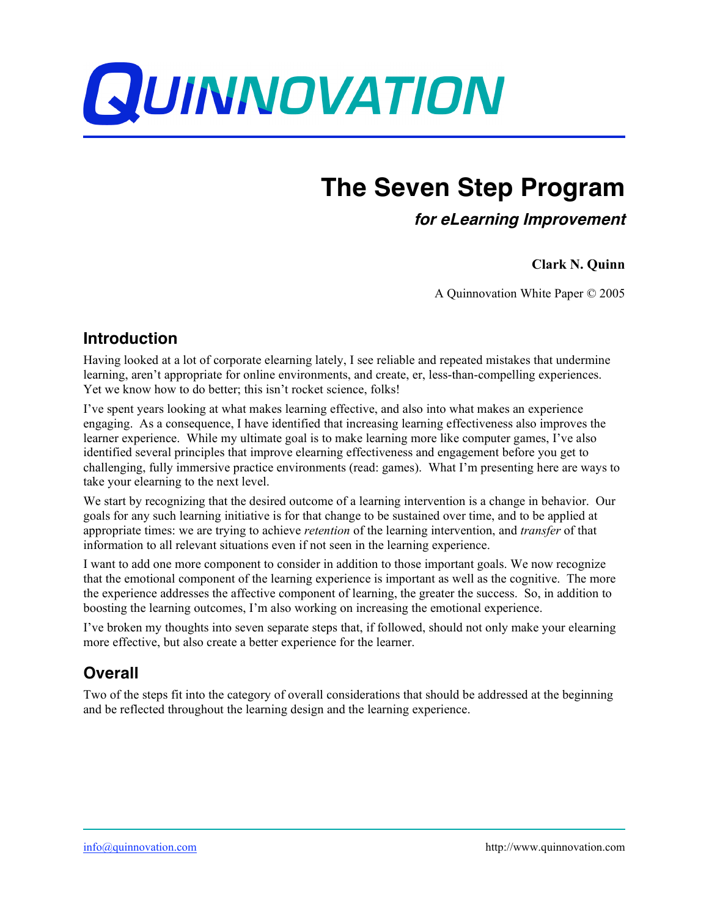

# **The Seven Step Program**

**for eLearning Improvement**

#### **Clark N. Quinn**

A Quinnovation White Paper © 2005

#### **Introduction**

Having looked at a lot of corporate elearning lately, I see reliable and repeated mistakes that undermine learning, aren't appropriate for online environments, and create, er, less-than-compelling experiences. Yet we know how to do better; this isn't rocket science, folks!

I've spent years looking at what makes learning effective, and also into what makes an experience engaging. As a consequence, I have identified that increasing learning effectiveness also improves the learner experience. While my ultimate goal is to make learning more like computer games, I've also identified several principles that improve elearning effectiveness and engagement before you get to challenging, fully immersive practice environments (read: games). What I'm presenting here are ways to take your elearning to the next level.

We start by recognizing that the desired outcome of a learning intervention is a change in behavior. Our goals for any such learning initiative is for that change to be sustained over time, and to be applied at appropriate times: we are trying to achieve *retention* of the learning intervention, and *transfer* of that information to all relevant situations even if not seen in the learning experience.

I want to add one more component to consider in addition to those important goals. We now recognize that the emotional component of the learning experience is important as well as the cognitive. The more the experience addresses the affective component of learning, the greater the success. So, in addition to boosting the learning outcomes, I'm also working on increasing the emotional experience.

I've broken my thoughts into seven separate steps that, if followed, should not only make your elearning more effective, but also create a better experience for the learner.

## **Overall**

Two of the steps fit into the category of overall considerations that should be addressed at the beginning and be reflected throughout the learning design and the learning experience.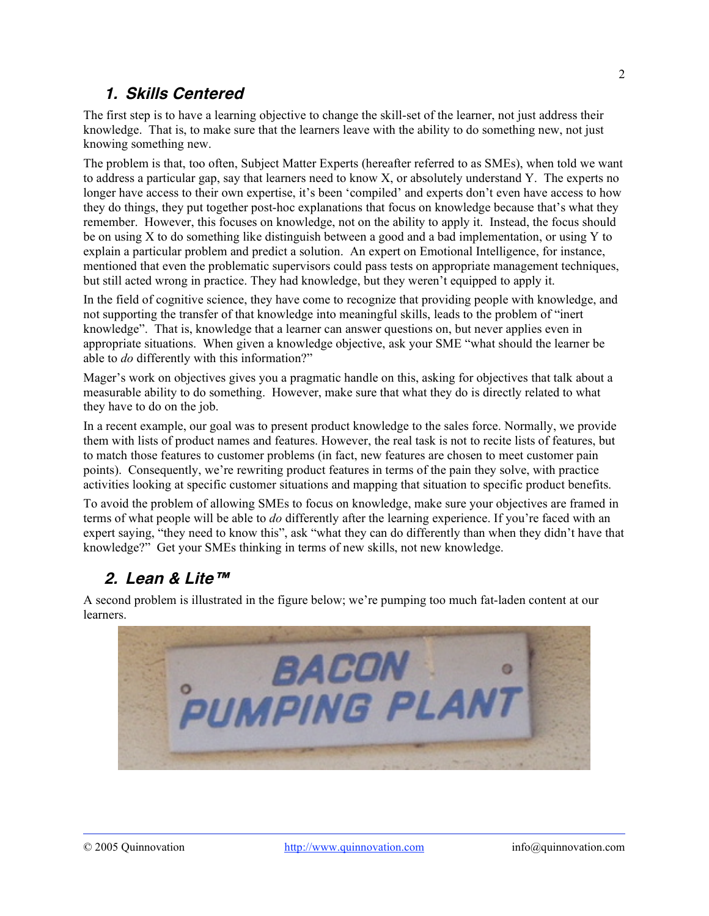#### **1. Skills Centered**

The first step is to have a learning objective to change the skill-set of the learner, not just address their knowledge. That is, to make sure that the learners leave with the ability to do something new, not just knowing something new.

The problem is that, too often, Subject Matter Experts (hereafter referred to as SMEs), when told we want to address a particular gap, say that learners need to know X, or absolutely understand Y. The experts no longer have access to their own expertise, it's been 'compiled' and experts don't even have access to how they do things, they put together post-hoc explanations that focus on knowledge because that's what they remember. However, this focuses on knowledge, not on the ability to apply it. Instead, the focus should be on using X to do something like distinguish between a good and a bad implementation, or using Y to explain a particular problem and predict a solution. An expert on Emotional Intelligence, for instance, mentioned that even the problematic supervisors could pass tests on appropriate management techniques, but still acted wrong in practice. They had knowledge, but they weren't equipped to apply it.

In the field of cognitive science, they have come to recognize that providing people with knowledge, and not supporting the transfer of that knowledge into meaningful skills, leads to the problem of "inert knowledge". That is, knowledge that a learner can answer questions on, but never applies even in appropriate situations. When given a knowledge objective, ask your SME "what should the learner be able to *do* differently with this information?"

Mager's work on objectives gives you a pragmatic handle on this, asking for objectives that talk about a measurable ability to do something. However, make sure that what they do is directly related to what they have to do on the job.

In a recent example, our goal was to present product knowledge to the sales force. Normally, we provide them with lists of product names and features. However, the real task is not to recite lists of features, but to match those features to customer problems (in fact, new features are chosen to meet customer pain points). Consequently, we're rewriting product features in terms of the pain they solve, with practice activities looking at specific customer situations and mapping that situation to specific product benefits.

To avoid the problem of allowing SMEs to focus on knowledge, make sure your objectives are framed in terms of what people will be able to *do* differently after the learning experience. If you're faced with an expert saying, "they need to know this", ask "what they can do differently than when they didn't have that knowledge?" Get your SMEs thinking in terms of new skills, not new knowledge.

## **2. Lean & Lite™**

A second problem is illustrated in the figure below; we're pumping too much fat-laden content at our learners.

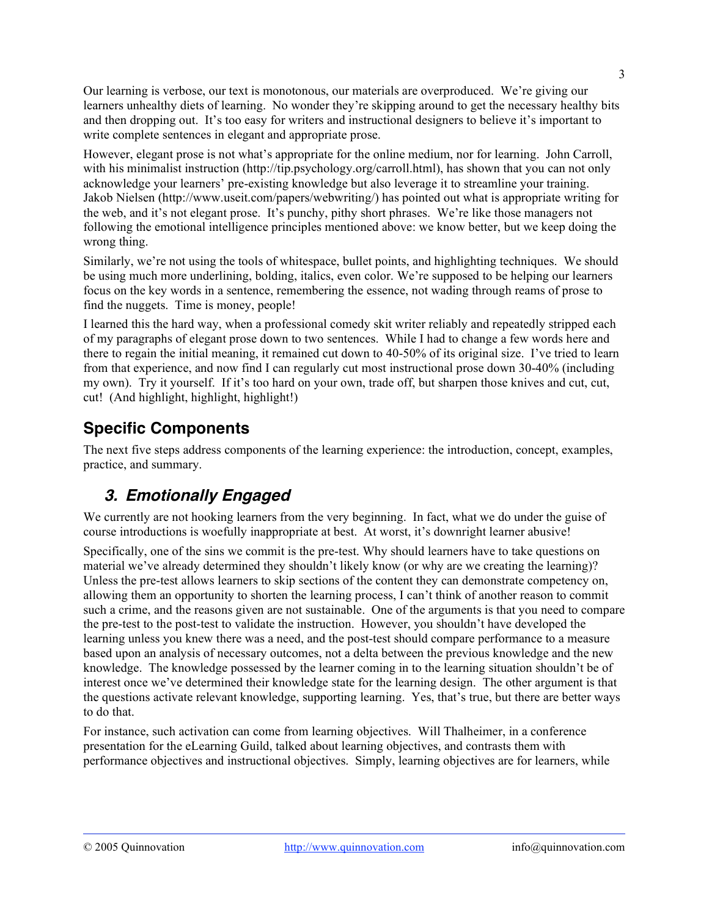Our learning is verbose, our text is monotonous, our materials are overproduced. We're giving our learners unhealthy diets of learning. No wonder they're skipping around to get the necessary healthy bits and then dropping out. It's too easy for writers and instructional designers to believe it's important to write complete sentences in elegant and appropriate prose.

However, elegant prose is not what's appropriate for the online medium, nor for learning. John Carroll, with his minimalist instruction (http://tip.psychology.org/carroll.html), has shown that you can not only acknowledge your learners' pre-existing knowledge but also leverage it to streamline your training. Jakob Nielsen (http://www.useit.com/papers/webwriting/) has pointed out what is appropriate writing for the web, and it's not elegant prose. It's punchy, pithy short phrases. We're like those managers not following the emotional intelligence principles mentioned above: we know better, but we keep doing the wrong thing.

Similarly, we're not using the tools of whitespace, bullet points, and highlighting techniques. We should be using much more underlining, bolding, italics, even color. We're supposed to be helping our learners focus on the key words in a sentence, remembering the essence, not wading through reams of prose to find the nuggets. Time is money, people!

I learned this the hard way, when a professional comedy skit writer reliably and repeatedly stripped each of my paragraphs of elegant prose down to two sentences. While I had to change a few words here and there to regain the initial meaning, it remained cut down to 40-50% of its original size. I've tried to learn from that experience, and now find I can regularly cut most instructional prose down 30-40% (including my own). Try it yourself. If it's too hard on your own, trade off, but sharpen those knives and cut, cut, cut! (And highlight, highlight, highlight!)

## **Specific Components**

The next five steps address components of the learning experience: the introduction, concept, examples, practice, and summary.

## **3. Emotionally Engaged**

We currently are not hooking learners from the very beginning. In fact, what we do under the guise of course introductions is woefully inappropriate at best. At worst, it's downright learner abusive!

Specifically, one of the sins we commit is the pre-test. Why should learners have to take questions on material we've already determined they shouldn't likely know (or why are we creating the learning)? Unless the pre-test allows learners to skip sections of the content they can demonstrate competency on, allowing them an opportunity to shorten the learning process, I can't think of another reason to commit such a crime, and the reasons given are not sustainable. One of the arguments is that you need to compare the pre-test to the post-test to validate the instruction. However, you shouldn't have developed the learning unless you knew there was a need, and the post-test should compare performance to a measure based upon an analysis of necessary outcomes, not a delta between the previous knowledge and the new knowledge. The knowledge possessed by the learner coming in to the learning situation shouldn't be of interest once we've determined their knowledge state for the learning design. The other argument is that the questions activate relevant knowledge, supporting learning. Yes, that's true, but there are better ways to do that.

For instance, such activation can come from learning objectives. Will Thalheimer, in a conference presentation for the eLearning Guild, talked about learning objectives, and contrasts them with performance objectives and instructional objectives. Simply, learning objectives are for learners, while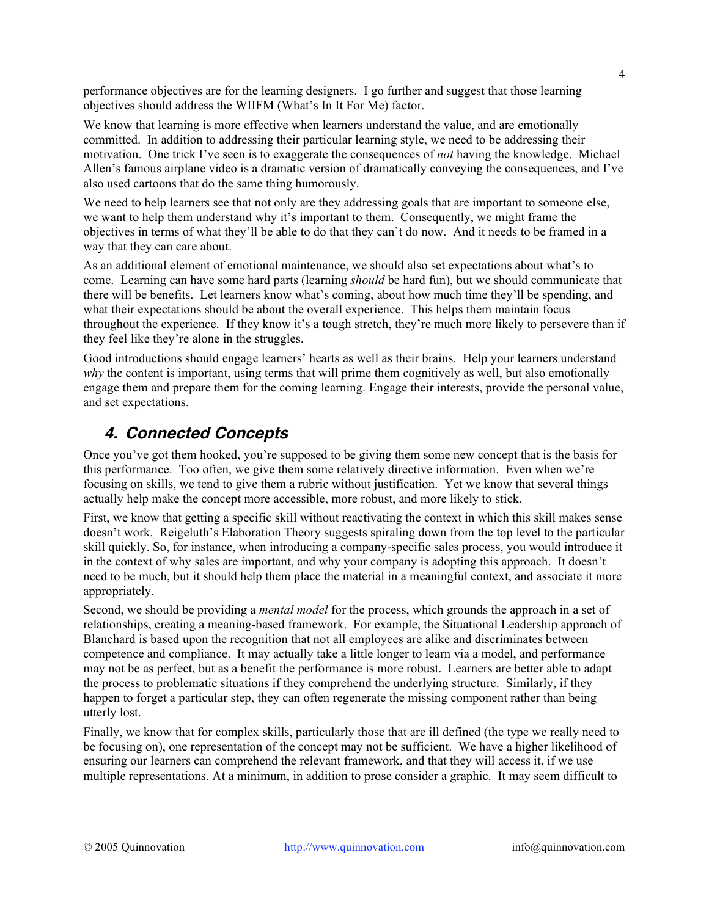performance objectives are for the learning designers. I go further and suggest that those learning objectives should address the WIIFM (What's In It For Me) factor.

We know that learning is more effective when learners understand the value, and are emotionally committed. In addition to addressing their particular learning style, we need to be addressing their motivation. One trick I've seen is to exaggerate the consequences of *not* having the knowledge. Michael Allen's famous airplane video is a dramatic version of dramatically conveying the consequences, and I've also used cartoons that do the same thing humorously.

We need to help learners see that not only are they addressing goals that are important to someone else, we want to help them understand why it's important to them. Consequently, we might frame the objectives in terms of what they'll be able to do that they can't do now. And it needs to be framed in a way that they can care about.

As an additional element of emotional maintenance, we should also set expectations about what's to come. Learning can have some hard parts (learning *should* be hard fun), but we should communicate that there will be benefits. Let learners know what's coming, about how much time they'll be spending, and what their expectations should be about the overall experience. This helps them maintain focus throughout the experience. If they know it's a tough stretch, they're much more likely to persevere than if they feel like they're alone in the struggles.

Good introductions should engage learners' hearts as well as their brains. Help your learners understand *why* the content is important, using terms that will prime them cognitively as well, but also emotionally engage them and prepare them for the coming learning. Engage their interests, provide the personal value, and set expectations.

## **4. Connected Concepts**

Once you've got them hooked, you're supposed to be giving them some new concept that is the basis for this performance. Too often, we give them some relatively directive information. Even when we're focusing on skills, we tend to give them a rubric without justification. Yet we know that several things actually help make the concept more accessible, more robust, and more likely to stick.

First, we know that getting a specific skill without reactivating the context in which this skill makes sense doesn't work. Reigeluth's Elaboration Theory suggests spiraling down from the top level to the particular skill quickly. So, for instance, when introducing a company-specific sales process, you would introduce it in the context of why sales are important, and why your company is adopting this approach. It doesn't need to be much, but it should help them place the material in a meaningful context, and associate it more appropriately.

Second, we should be providing a *mental model* for the process, which grounds the approach in a set of relationships, creating a meaning-based framework. For example, the Situational Leadership approach of Blanchard is based upon the recognition that not all employees are alike and discriminates between competence and compliance. It may actually take a little longer to learn via a model, and performance may not be as perfect, but as a benefit the performance is more robust. Learners are better able to adapt the process to problematic situations if they comprehend the underlying structure. Similarly, if they happen to forget a particular step, they can often regenerate the missing component rather than being utterly lost.

Finally, we know that for complex skills, particularly those that are ill defined (the type we really need to be focusing on), one representation of the concept may not be sufficient. We have a higher likelihood of ensuring our learners can comprehend the relevant framework, and that they will access it, if we use multiple representations. At a minimum, in addition to prose consider a graphic. It may seem difficult to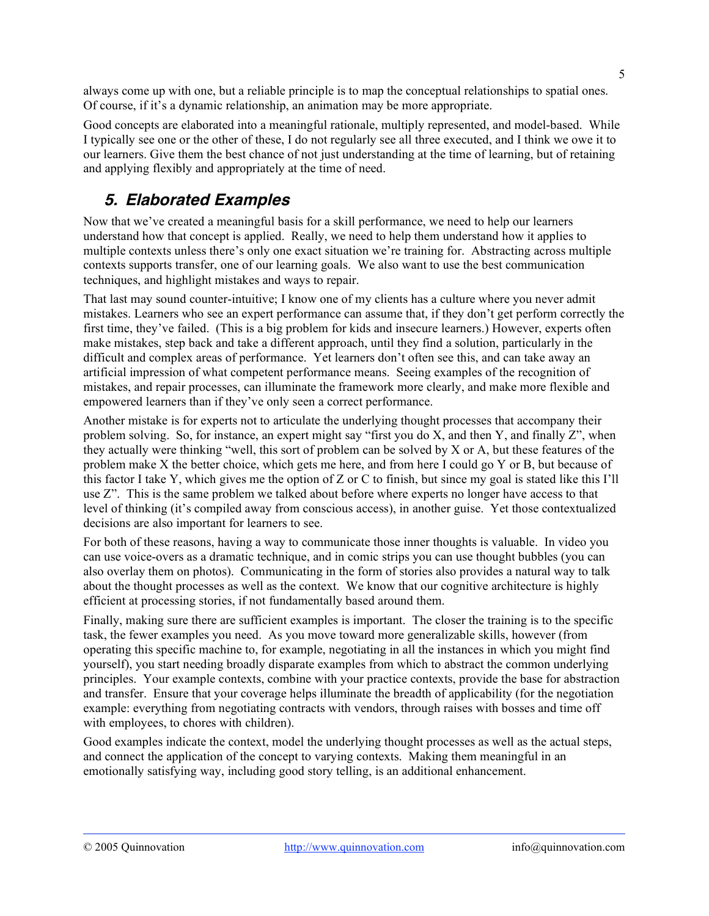always come up with one, but a reliable principle is to map the conceptual relationships to spatial ones. Of course, if it's a dynamic relationship, an animation may be more appropriate.

Good concepts are elaborated into a meaningful rationale, multiply represented, and model-based. While I typically see one or the other of these, I do not regularly see all three executed, and I think we owe it to our learners. Give them the best chance of not just understanding at the time of learning, but of retaining and applying flexibly and appropriately at the time of need.

## **5. Elaborated Examples**

Now that we've created a meaningful basis for a skill performance, we need to help our learners understand how that concept is applied. Really, we need to help them understand how it applies to multiple contexts unless there's only one exact situation we're training for. Abstracting across multiple contexts supports transfer, one of our learning goals. We also want to use the best communication techniques, and highlight mistakes and ways to repair.

That last may sound counter-intuitive; I know one of my clients has a culture where you never admit mistakes. Learners who see an expert performance can assume that, if they don't get perform correctly the first time, they've failed. (This is a big problem for kids and insecure learners.) However, experts often make mistakes, step back and take a different approach, until they find a solution, particularly in the difficult and complex areas of performance. Yet learners don't often see this, and can take away an artificial impression of what competent performance means. Seeing examples of the recognition of mistakes, and repair processes, can illuminate the framework more clearly, and make more flexible and empowered learners than if they've only seen a correct performance.

Another mistake is for experts not to articulate the underlying thought processes that accompany their problem solving. So, for instance, an expert might say "first you do X, and then Y, and finally Z", when they actually were thinking "well, this sort of problem can be solved by X or A, but these features of the problem make X the better choice, which gets me here, and from here I could go Y or B, but because of this factor I take Y, which gives me the option of Z or C to finish, but since my goal is stated like this I'll use Z". This is the same problem we talked about before where experts no longer have access to that level of thinking (it's compiled away from conscious access), in another guise. Yet those contextualized decisions are also important for learners to see.

For both of these reasons, having a way to communicate those inner thoughts is valuable. In video you can use voice-overs as a dramatic technique, and in comic strips you can use thought bubbles (you can also overlay them on photos). Communicating in the form of stories also provides a natural way to talk about the thought processes as well as the context. We know that our cognitive architecture is highly efficient at processing stories, if not fundamentally based around them.

Finally, making sure there are sufficient examples is important. The closer the training is to the specific task, the fewer examples you need. As you move toward more generalizable skills, however (from operating this specific machine to, for example, negotiating in all the instances in which you might find yourself), you start needing broadly disparate examples from which to abstract the common underlying principles. Your example contexts, combine with your practice contexts, provide the base for abstraction and transfer. Ensure that your coverage helps illuminate the breadth of applicability (for the negotiation example: everything from negotiating contracts with vendors, through raises with bosses and time off with employees, to chores with children).

Good examples indicate the context, model the underlying thought processes as well as the actual steps, and connect the application of the concept to varying contexts. Making them meaningful in an emotionally satisfying way, including good story telling, is an additional enhancement.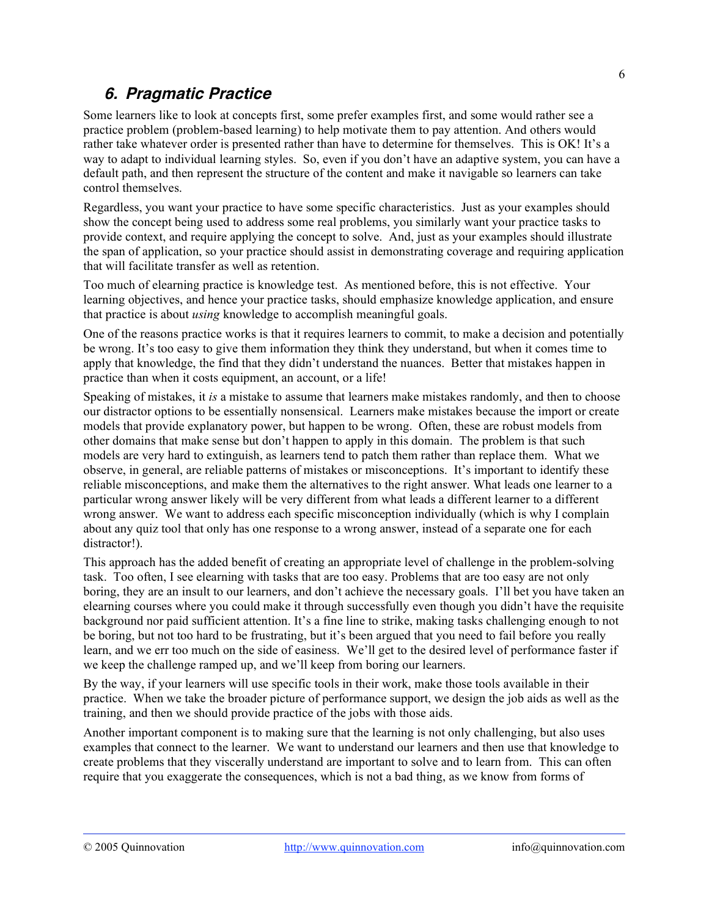## **6. Pragmatic Practice**

Some learners like to look at concepts first, some prefer examples first, and some would rather see a practice problem (problem-based learning) to help motivate them to pay attention. And others would rather take whatever order is presented rather than have to determine for themselves. This is OK! It's a way to adapt to individual learning styles. So, even if you don't have an adaptive system, you can have a default path, and then represent the structure of the content and make it navigable so learners can take control themselves.

Regardless, you want your practice to have some specific characteristics. Just as your examples should show the concept being used to address some real problems, you similarly want your practice tasks to provide context, and require applying the concept to solve. And, just as your examples should illustrate the span of application, so your practice should assist in demonstrating coverage and requiring application that will facilitate transfer as well as retention.

Too much of elearning practice is knowledge test. As mentioned before, this is not effective. Your learning objectives, and hence your practice tasks, should emphasize knowledge application, and ensure that practice is about *using* knowledge to accomplish meaningful goals.

One of the reasons practice works is that it requires learners to commit, to make a decision and potentially be wrong. It's too easy to give them information they think they understand, but when it comes time to apply that knowledge, the find that they didn't understand the nuances. Better that mistakes happen in practice than when it costs equipment, an account, or a life!

Speaking of mistakes, it *is* a mistake to assume that learners make mistakes randomly, and then to choose our distractor options to be essentially nonsensical. Learners make mistakes because the import or create models that provide explanatory power, but happen to be wrong. Often, these are robust models from other domains that make sense but don't happen to apply in this domain. The problem is that such models are very hard to extinguish, as learners tend to patch them rather than replace them. What we observe, in general, are reliable patterns of mistakes or misconceptions. It's important to identify these reliable misconceptions, and make them the alternatives to the right answer. What leads one learner to a particular wrong answer likely will be very different from what leads a different learner to a different wrong answer. We want to address each specific misconception individually (which is why I complain about any quiz tool that only has one response to a wrong answer, instead of a separate one for each distractor!).

This approach has the added benefit of creating an appropriate level of challenge in the problem-solving task. Too often, I see elearning with tasks that are too easy. Problems that are too easy are not only boring, they are an insult to our learners, and don't achieve the necessary goals. I'll bet you have taken an elearning courses where you could make it through successfully even though you didn't have the requisite background nor paid sufficient attention. It's a fine line to strike, making tasks challenging enough to not be boring, but not too hard to be frustrating, but it's been argued that you need to fail before you really learn, and we err too much on the side of easiness. We'll get to the desired level of performance faster if we keep the challenge ramped up, and we'll keep from boring our learners.

By the way, if your learners will use specific tools in their work, make those tools available in their practice. When we take the broader picture of performance support, we design the job aids as well as the training, and then we should provide practice of the jobs with those aids.

Another important component is to making sure that the learning is not only challenging, but also uses examples that connect to the learner. We want to understand our learners and then use that knowledge to create problems that they viscerally understand are important to solve and to learn from. This can often require that you exaggerate the consequences, which is not a bad thing, as we know from forms of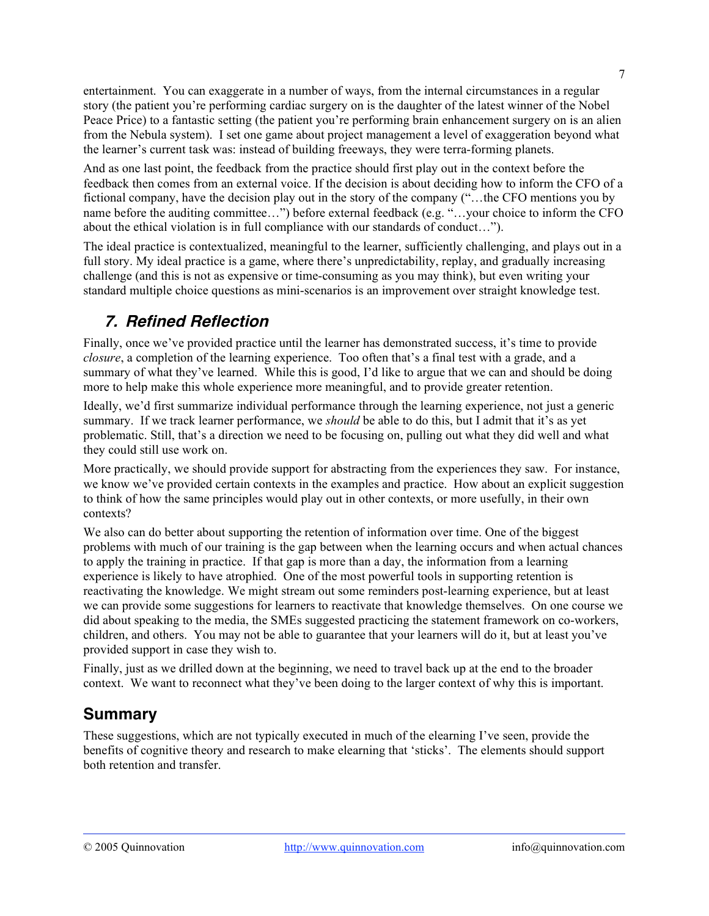entertainment. You can exaggerate in a number of ways, from the internal circumstances in a regular story (the patient you're performing cardiac surgery on is the daughter of the latest winner of the Nobel Peace Price) to a fantastic setting (the patient you're performing brain enhancement surgery on is an alien from the Nebula system). I set one game about project management a level of exaggeration beyond what the learner's current task was: instead of building freeways, they were terra-forming planets.

And as one last point, the feedback from the practice should first play out in the context before the feedback then comes from an external voice. If the decision is about deciding how to inform the CFO of a fictional company, have the decision play out in the story of the company ("…the CFO mentions you by name before the auditing committee…") before external feedback (e.g. "…your choice to inform the CFO about the ethical violation is in full compliance with our standards of conduct…").

The ideal practice is contextualized, meaningful to the learner, sufficiently challenging, and plays out in a full story. My ideal practice is a game, where there's unpredictability, replay, and gradually increasing challenge (and this is not as expensive or time-consuming as you may think), but even writing your standard multiple choice questions as mini-scenarios is an improvement over straight knowledge test.

## **7. Refined Reflection**

Finally, once we've provided practice until the learner has demonstrated success, it's time to provide *closure*, a completion of the learning experience. Too often that's a final test with a grade, and a summary of what they've learned. While this is good, I'd like to argue that we can and should be doing more to help make this whole experience more meaningful, and to provide greater retention.

Ideally, we'd first summarize individual performance through the learning experience, not just a generic summary. If we track learner performance, we *should* be able to do this, but I admit that it's as yet problematic. Still, that's a direction we need to be focusing on, pulling out what they did well and what they could still use work on.

More practically, we should provide support for abstracting from the experiences they saw. For instance, we know we've provided certain contexts in the examples and practice. How about an explicit suggestion to think of how the same principles would play out in other contexts, or more usefully, in their own contexts?

We also can do better about supporting the retention of information over time. One of the biggest problems with much of our training is the gap between when the learning occurs and when actual chances to apply the training in practice. If that gap is more than a day, the information from a learning experience is likely to have atrophied. One of the most powerful tools in supporting retention is reactivating the knowledge. We might stream out some reminders post-learning experience, but at least we can provide some suggestions for learners to reactivate that knowledge themselves. On one course we did about speaking to the media, the SMEs suggested practicing the statement framework on co-workers, children, and others. You may not be able to guarantee that your learners will do it, but at least you've provided support in case they wish to.

Finally, just as we drilled down at the beginning, we need to travel back up at the end to the broader context. We want to reconnect what they've been doing to the larger context of why this is important.

## **Summary**

These suggestions, which are not typically executed in much of the elearning I've seen, provide the benefits of cognitive theory and research to make elearning that 'sticks'. The elements should support both retention and transfer.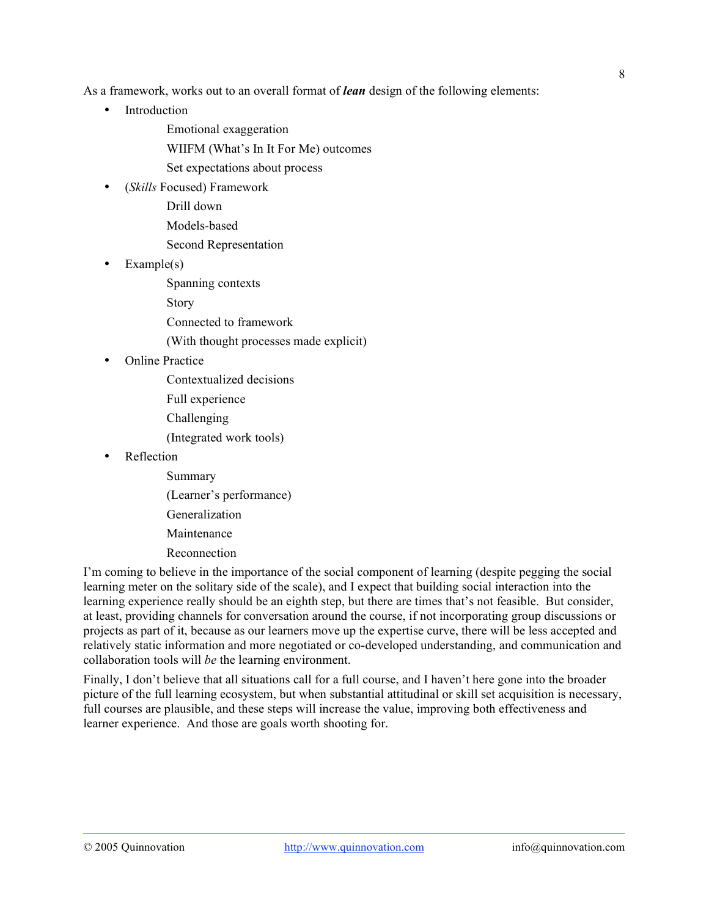As a framework, works out to an overall format of *lean* design of the following elements:

• Introduction

Emotional exaggeration

WIIFM (What's In It For Me) outcomes

Set expectations about process

• (*Skills* Focused) Framework

Drill down

Models-based

Second Representation

• Example(s)

Spanning contexts

Story

Connected to framework

(With thought processes made explicit)

• Online Practice

Contextualized decisions

Full experience

Challenging

(Integrated work tools)

Reflection

Summary (Learner's performance) Generalization Maintenance Reconnection

I'm coming to believe in the importance of the social component of learning (despite pegging the social learning meter on the solitary side of the scale), and I expect that building social interaction into the learning experience really should be an eighth step, but there are times that's not feasible. But consider, at least, providing channels for conversation around the course, if not incorporating group discussions or projects as part of it, because as our learners move up the expertise curve, there will be less accepted and relatively static information and more negotiated or co-developed understanding, and communication and collaboration tools will *be* the learning environment.

Finally, I don't believe that all situations call for a full course, and I haven't here gone into the broader picture of the full learning ecosystem, but when substantial attitudinal or skill set acquisition is necessary, full courses are plausible, and these steps will increase the value, improving both effectiveness and learner experience. And those are goals worth shooting for.